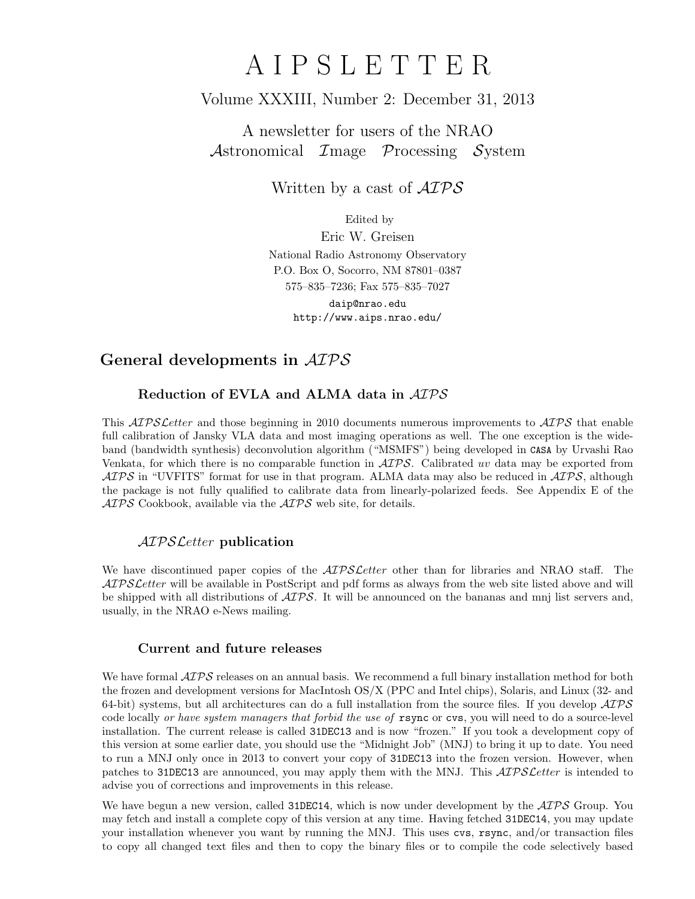# A I P S L E T T E R

# Volume XXXIII, Number 2: December 31, 2013

A newsletter for users of the NRAO Astronomical Image Processing System

Written by a cast of  $\mathcal{AIPS}$ 

Edited by

Eric W. Greisen National Radio Astronomy Observatory P.O. Box O, Socorro, NM 87801–0387 575–835–7236; Fax 575–835–7027

daip@nrao.edu http://www.aips.nrao.edu/

# General developments in AIPS

## Reduction of EVLA and ALMA data in AIPS

This *AIPS Letter* and those beginning in 2010 documents numerous improvements to *AIPS* that enable full calibration of Jansky VLA data and most imaging operations as well. The one exception is the wideband (bandwidth synthesis) deconvolution algorithm ("MSMFS") being developed in CASA by Urvashi Rao Venkata, for which there is no comparable function in  $\mathcal{AIPS}$ . Calibrated uv data may be exported from  $ATPS$  in "UVFITS" format for use in that program. ALMA data may also be reduced in  $ATPS$ , although the package is not fully qualified to calibrate data from linearly-polarized feeds. See Appendix E of the  $AIPS$  Cookbook, available via the  $AIPS$  web site, for details.

### AIPSLetter publication

We have discontinued paper copies of the  $ATPSLetter$  other than for libraries and NRAO staff. The AIPS Letter will be available in PostScript and pdf forms as always from the web site listed above and will be shipped with all distributions of  $\mathcal{AIPS}$ . It will be announced on the bananas and mnj list servers and, usually, in the NRAO e-News mailing.

### Current and future releases

We have formal  $\mathcal{AIPS}$  releases on an annual basis. We recommend a full binary installation method for both the frozen and development versions for MacIntosh OS/X (PPC and Intel chips), Solaris, and Linux (32- and 64-bit) systems, but all architectures can do a full installation from the source files. If you develop  $\mathcal{AIPS}$ code locally or have system managers that forbid the use of rsync or cvs, you will need to do a source-level installation. The current release is called 31DEC13 and is now "frozen." If you took a development copy of this version at some earlier date, you should use the "Midnight Job" (MNJ) to bring it up to date. You need to run a MNJ only once in 2013 to convert your copy of 31DEC13 into the frozen version. However, when patches to 31DEC13 are announced, you may apply them with the MNJ. This  $\mathcal{AIPSL}$ etter is intended to advise you of corrections and improvements in this release.

We have begun a new version, called 31DEC14, which is now under development by the  $\mathcal{AIPS}$  Group. You may fetch and install a complete copy of this version at any time. Having fetched 31DEC14, you may update your installation whenever you want by running the MNJ. This uses cvs, rsync, and/or transaction files to copy all changed text files and then to copy the binary files or to compile the code selectively based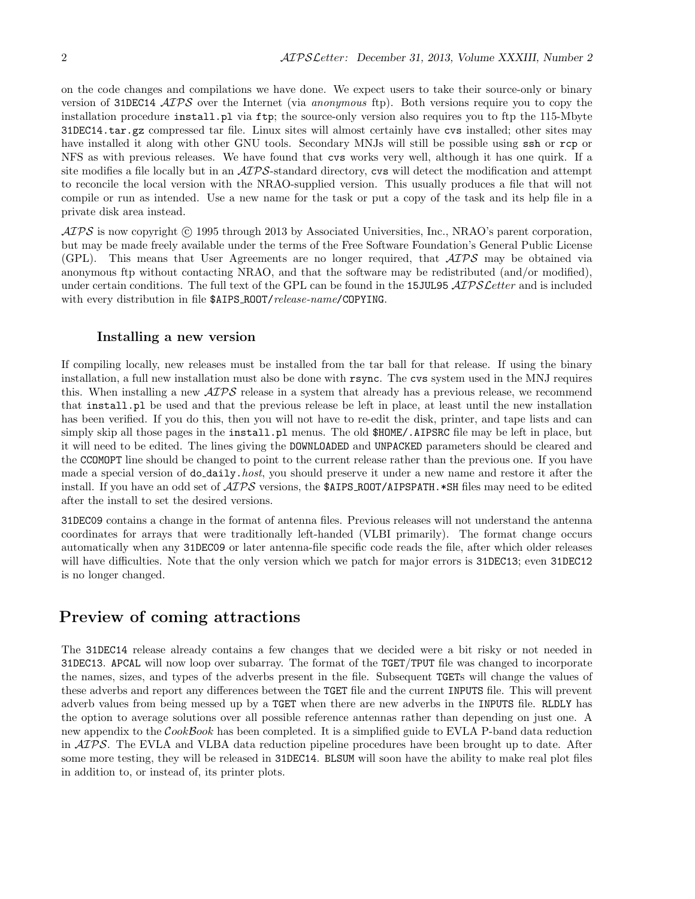on the code changes and compilations we have done. We expect users to take their source-only or binary version of 31DEC14 ATPS over the Internet (via anonymous ftp). Both versions require you to copy the installation procedure install.pl via ftp; the source-only version also requires you to ftp the 115-Mbyte 31DEC14.tar.gz compressed tar file. Linux sites will almost certainly have cvs installed; other sites may have installed it along with other GNU tools. Secondary MNJs will still be possible using ssh or rcp or NFS as with previous releases. We have found that cvs works very well, although it has one quirk. If a site modifies a file locally but in an  $\mathcal{AIPS}$ -standard directory, cvs will detect the modification and attempt to reconcile the local version with the NRAO-supplied version. This usually produces a file that will not compile or run as intended. Use a new name for the task or put a copy of the task and its help file in a private disk area instead.

 $\mathcal{AIPS}$  is now copyright ( $\odot$  1995 through 2013 by Associated Universities, Inc., NRAO's parent corporation, but may be made freely available under the terms of the Free Software Foundation's General Public License (GPL). This means that User Agreements are no longer required, that AIPS may be obtained via anonymous ftp without contacting NRAO, and that the software may be redistributed (and/or modified), under certain conditions. The full text of the GPL can be found in the 15JUL95 AIPS Letter and is included with every distribution in file \$AIPS\_ROOT/release-name/COPYING.

#### Installing a new version

If compiling locally, new releases must be installed from the tar ball for that release. If using the binary installation, a full new installation must also be done with rsync. The cvs system used in the MNJ requires this. When installing a new  $\mathcal{AIPS}$  release in a system that already has a previous release, we recommend that install.pl be used and that the previous release be left in place, at least until the new installation has been verified. If you do this, then you will not have to re-edit the disk, printer, and tape lists and can simply skip all those pages in the install.pl menus. The old  $$HOME/$ .AIPSRC file may be left in place, but it will need to be edited. The lines giving the DOWNLOADED and UNPACKED parameters should be cleared and the CCOMOPT line should be changed to point to the current release rather than the previous one. If you have made a special version of do\_daily.host, you should preserve it under a new name and restore it after the install. If you have an odd set of  $\mathcal{AIPS}$  versions, the \$AIPS ROOT/AIPSPATH. \*SH files may need to be edited after the install to set the desired versions.

31DEC09 contains a change in the format of antenna files. Previous releases will not understand the antenna coordinates for arrays that were traditionally left-handed (VLBI primarily). The format change occurs automatically when any 31DEC09 or later antenna-file specific code reads the file, after which older releases will have difficulties. Note that the only version which we patch for major errors is 31DEC13; even 31DEC12 is no longer changed.

## Preview of coming attractions

The 31DEC14 release already contains a few changes that we decided were a bit risky or not needed in 31DEC13. APCAL will now loop over subarray. The format of the TGET/TPUT file was changed to incorporate the names, sizes, and types of the adverbs present in the file. Subsequent TGETs will change the values of these adverbs and report any differences between the TGET file and the current INPUTS file. This will prevent adverb values from being messed up by a TGET when there are new adverbs in the INPUTS file. RLDLY has the option to average solutions over all possible reference antennas rather than depending on just one. A new appendix to the CookBook has been completed. It is a simplified guide to EVLA P-band data reduction in AIPS. The EVLA and VLBA data reduction pipeline procedures have been brought up to date. After some more testing, they will be released in 31DEC14. BLSUM will soon have the ability to make real plot files in addition to, or instead of, its printer plots.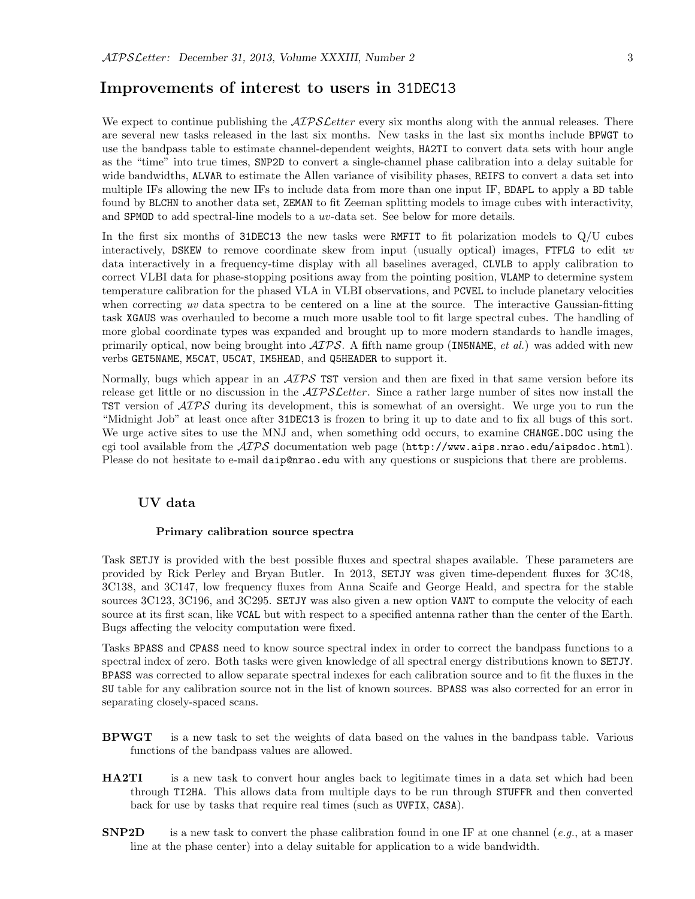## Improvements of interest to users in 31DEC13

We expect to continue publishing the  $ATPSLetter$  every six months along with the annual releases. There are several new tasks released in the last six months. New tasks in the last six months include BPWGT to use the bandpass table to estimate channel-dependent weights, HA2TI to convert data sets with hour angle as the "time" into true times, SNP2D to convert a single-channel phase calibration into a delay suitable for wide bandwidths, ALVAR to estimate the Allen variance of visibility phases, REIFS to convert a data set into multiple IFs allowing the new IFs to include data from more than one input IF, BDAPL to apply a BD table found by BLCHN to another data set, ZEMAN to fit Zeeman splitting models to image cubes with interactivity, and SPMOD to add spectral-line models to a uv-data set. See below for more details.

In the first six months of 31DEC13 the new tasks were RMFIT to fit polarization models to Q/U cubes interactively, DSKEW to remove coordinate skew from input (usually optical) images, FTFLG to edit uv data interactively in a frequency-time display with all baselines averaged, CLVLB to apply calibration to correct VLBI data for phase-stopping positions away from the pointing position, VLAMP to determine system temperature calibration for the phased VLA in VLBI observations, and PCVEL to include planetary velocities when correcting uv data spectra to be centered on a line at the source. The interactive Gaussian-fitting task XGAUS was overhauled to become a much more usable tool to fit large spectral cubes. The handling of more global coordinate types was expanded and brought up to more modern standards to handle images, primarily optical, now being brought into  $\mathcal{AIPS}$ . A fifth name group (IN5NAME, *et al.*) was added with new verbs GET5NAME, M5CAT, U5CAT, IM5HEAD, and Q5HEADER to support it.

Normally, bugs which appear in an  $\mathcal{AIPS}$  TST version and then are fixed in that same version before its release get little or no discussion in the  $\mathcal{AIPSLetter}$ . Since a rather large number of sites now install the TST version of  $\mathcal{A}TP\mathcal{S}$  during its development, this is somewhat of an oversight. We urge you to run the "Midnight Job" at least once after 31DEC13 is frozen to bring it up to date and to fix all bugs of this sort. We urge active sites to use the MNJ and, when something odd occurs, to examine CHANGE.DOC using the cgi tool available from the  $\mathcal{AIPS}$  documentation web page (http://www.aips.nrao.edu/aipsdoc.html). Please do not hesitate to e-mail daip@nrao.edu with any questions or suspicions that there are problems.

#### UV data

#### Primary calibration source spectra

Task SETJY is provided with the best possible fluxes and spectral shapes available. These parameters are provided by Rick Perley and Bryan Butler. In 2013, SETJY was given time-dependent fluxes for 3C48, 3C138, and 3C147, low frequency fluxes from Anna Scaife and George Heald, and spectra for the stable sources 3C123, 3C196, and 3C295. SETJY was also given a new option VANT to compute the velocity of each source at its first scan, like VCAL but with respect to a specified antenna rather than the center of the Earth. Bugs affecting the velocity computation were fixed.

Tasks BPASS and CPASS need to know source spectral index in order to correct the bandpass functions to a spectral index of zero. Both tasks were given knowledge of all spectral energy distributions known to SETJY. BPASS was corrected to allow separate spectral indexes for each calibration source and to fit the fluxes in the SU table for any calibration source not in the list of known sources. BPASS was also corrected for an error in separating closely-spaced scans.

- BPWGT is a new task to set the weights of data based on the values in the bandpass table. Various functions of the bandpass values are allowed.
- **HA2TI** is a new task to convert hour angles back to legitimate times in a data set which had been through TI2HA. This allows data from multiple days to be run through STUFFR and then converted back for use by tasks that require real times (such as UVFIX, CASA).
- **SNP2D** is a new task to convert the phase calibration found in one IF at one channel (e.g., at a maser line at the phase center) into a delay suitable for application to a wide bandwidth.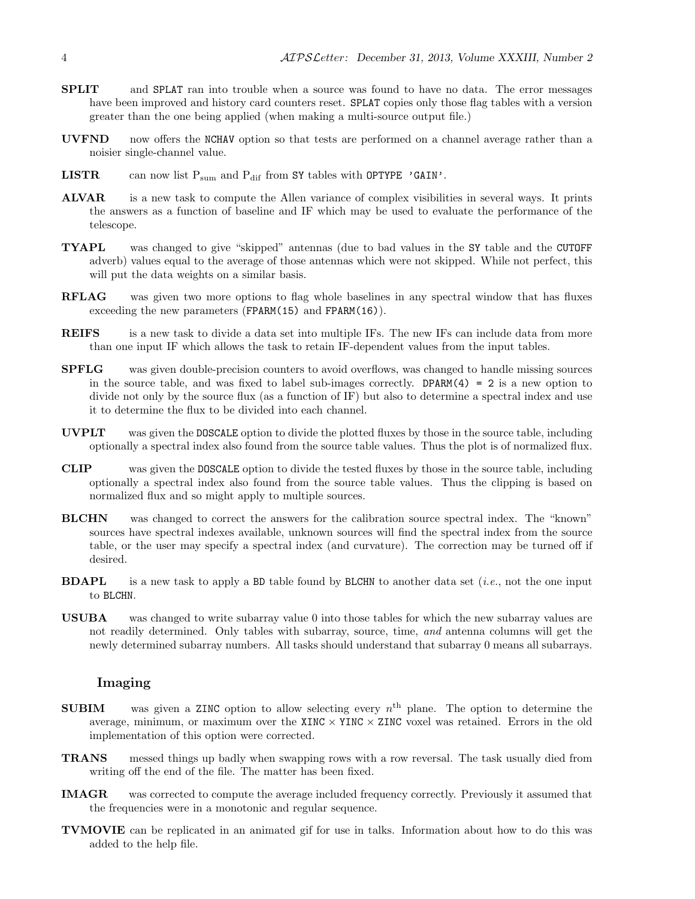- SPLIT and SPLAT ran into trouble when a source was found to have no data. The error messages have been improved and history card counters reset. SPLAT copies only those flag tables with a version greater than the one being applied (when making a multi-source output file.)
- UVFND now offers the NCHAV option so that tests are performed on a channel average rather than a noisier single-channel value.
- **LISTR** can now list  $P_{sum}$  and  $P_{dif}$  from SY tables with OPTYPE 'GAIN'.
- ALVAR is a new task to compute the Allen variance of complex visibilities in several ways. It prints the answers as a function of baseline and IF which may be used to evaluate the performance of the telescope.
- TYAPL was changed to give "skipped" antennas (due to bad values in the SY table and the CUTOFF adverb) values equal to the average of those antennas which were not skipped. While not perfect, this will put the data weights on a similar basis.
- RFLAG was given two more options to flag whole baselines in any spectral window that has fluxes exceeding the new parameters (FPARM(15) and FPARM(16)).
- **REIFS** is a new task to divide a data set into multiple IFs. The new IFs can include data from more than one input IF which allows the task to retain IF-dependent values from the input tables.
- SPFLG was given double-precision counters to avoid overflows, was changed to handle missing sources in the source table, and was fixed to label sub-images correctly. DPARM $(4)$  = 2 is a new option to divide not only by the source flux (as a function of IF) but also to determine a spectral index and use it to determine the flux to be divided into each channel.
- UVPLT was given the DOSCALE option to divide the plotted fluxes by those in the source table, including optionally a spectral index also found from the source table values. Thus the plot is of normalized flux.
- CLIP was given the DOSCALE option to divide the tested fluxes by those in the source table, including optionally a spectral index also found from the source table values. Thus the clipping is based on normalized flux and so might apply to multiple sources.
- BLCHN was changed to correct the answers for the calibration source spectral index. The "known" sources have spectral indexes available, unknown sources will find the spectral index from the source table, or the user may specify a spectral index (and curvature). The correction may be turned off if desired.
- **BDAPL** is a new task to apply a BD table found by BLCHN to another data set (*i.e.*, not the one input to BLCHN.
- USUBA was changed to write subarray value 0 into those tables for which the new subarray values are not readily determined. Only tables with subarray, source, time, and antenna columns will get the newly determined subarray numbers. All tasks should understand that subarray 0 means all subarrays.

#### Imaging

- **SUBIM** was given a ZINC option to allow selecting every  $n<sup>th</sup>$  plane. The option to determine the average, minimum, or maximum over the XINC  $\times$  YINC  $\times$  ZINC voxel was retained. Errors in the old implementation of this option were corrected.
- TRANS messed things up badly when swapping rows with a row reversal. The task usually died from writing off the end of the file. The matter has been fixed.
- IMAGR was corrected to compute the average included frequency correctly. Previously it assumed that the frequencies were in a monotonic and regular sequence.
- TVMOVIE can be replicated in an animated gif for use in talks. Information about how to do this was added to the help file.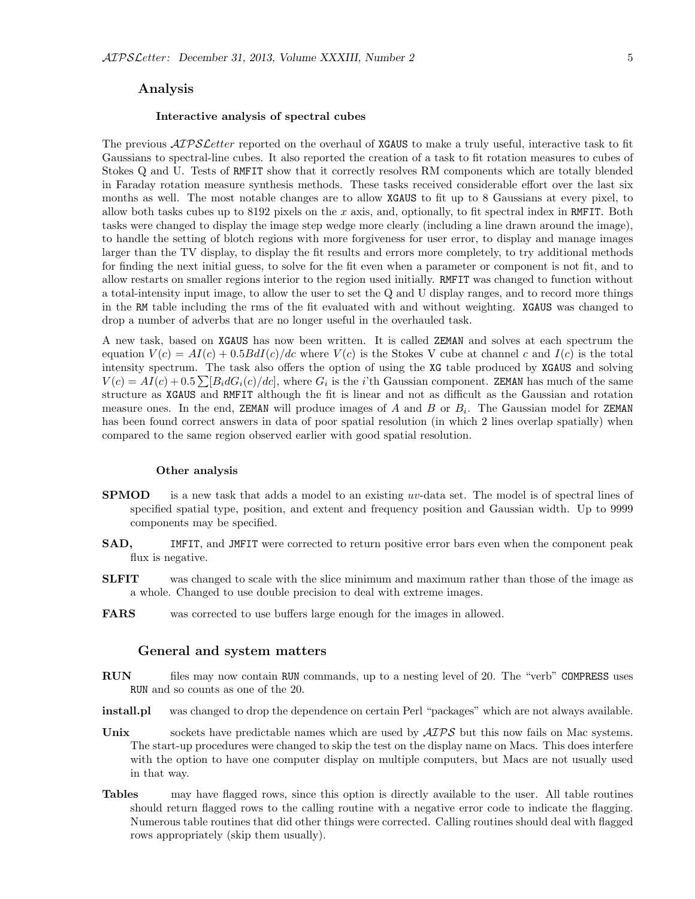#### Analysis

#### Interactive analysis of spectral cubes

The previous  $\mathcal{A} \mathcal{D} \mathcal{S} \mathcal{L}$  reported on the overhaul of XGAUS to make a truly useful, interactive task to fit Gaussians to spectral-line cubes. It also reported the creation of a task to fit rotation measures to cubes of Stokes Q and U. Tests of RMFIT show that it correctly resolves RM components which are totally blended in Faraday rotation measure synthesis methods. These tasks received considerable effort over the last six months as well. The most notable changes are to allow XGAUS to fit up to 8 Gaussians at every pixel, to allow both tasks cubes up to 8192 pixels on the  $x$  axis, and, optionally, to fit spectral index in RMFIT. Both tasks were changed to display the image step wedge more clearly (including a line drawn around the image), to handle the setting of blotch regions with more forgiveness for user error, to display and manage images larger than the TV display, to display the fit results and errors more completely, to try additional methods for finding the next initial guess, to solve for the fit even when a parameter or component is not fit, and to allow restarts on smaller regions interior to the region used initially. RMFIT was changed to function without a total-intensity input image, to allow the user to set the Q and U display ranges, and to record more things in the RM table including the rms of the fit evaluated with and without weighting. XGAUS was changed to drop a number of adverbs that are no longer useful in the overhauled task.

A new task, based on XGAUS has now been written. It is called ZEMAN and solves at each spectrum the equation  $V(c) = AI(c) + 0.5BdI(c)/dc$  where  $V(c)$  is the Stokes V cube at channel c and  $I(c)$  is the total intensity spectrum. The task also offers the option of using the XG table produced by XGAUS and solving  $V(c) = AI(c) + 0.5 \sum [B_i dG_i(c)/dc]$ , where  $G_i$  is the *i*'th Gaussian component. **ZEMAN** has much of the same structure as XGAUS and RMFIT although the fit is linear and not as difficult as the Gaussian and rotation measure ones. In the end, ZEMAN will produce images of A and B or  $B_i$ . The Gaussian model for ZEMAN has been found correct answers in data of poor spatial resolution (in which 2 lines overlap spatially) when compared to the same region observed earlier with good spatial resolution.

#### Other analysis

- **SPMOD** is a new task that adds a model to an existing uv-data set. The model is of spectral lines of specified spatial type, position, and extent and frequency position and Gaussian width. Up to 9999 components may be specified.
- SAD, IMFIT, and JMFIT were corrected to return positive error bars even when the component peak flux is negative.
- **SLFIT** was changed to scale with the slice minimum and maximum rather than those of the image as a whole. Changed to use double precision to deal with extreme images.
- FARS was corrected to use buffers large enough for the images in allowed.

#### General and system matters

- RUN files may now contain RUN commands, up to a nesting level of 20. The "verb" COMPRESS uses RUN and so counts as one of the 20.
- install.pl was changed to drop the dependence on certain Perl "packages" which are not always available.
- Unix sockets have predictable names which are used by  $\mathcal{AIPS}$  but this now fails on Mac systems. The start-up procedures were changed to skip the test on the display name on Macs. This does interfere with the option to have one computer display on multiple computers, but Macs are not usually used in that way.
- Tables may have flagged rows, since this option is directly available to the user. All table routines should return flagged rows to the calling routine with a negative error code to indicate the flagging. Numerous table routines that did other things were corrected. Calling routines should deal with flagged rows appropriately (skip them usually).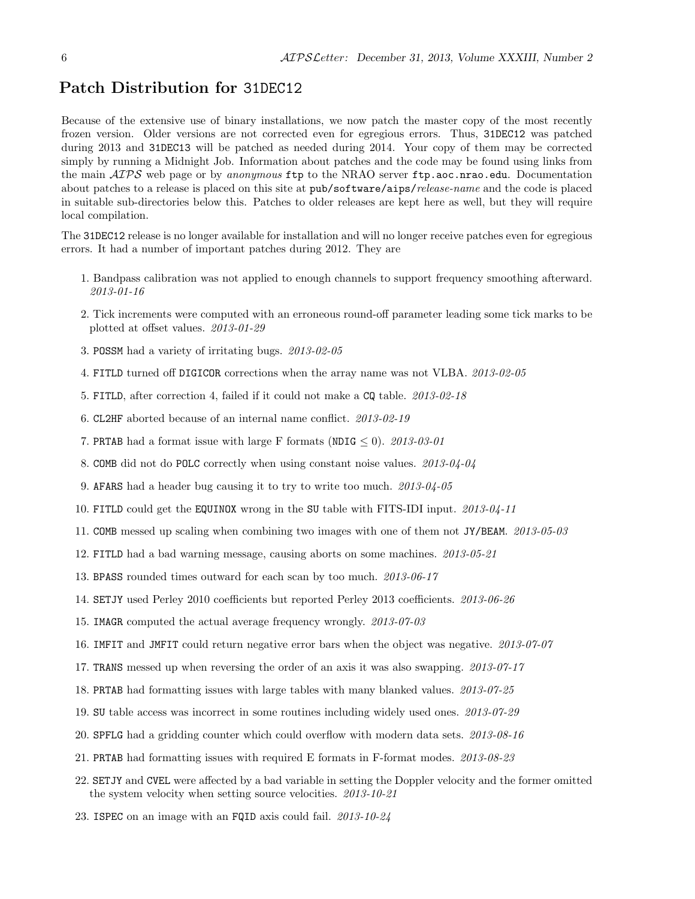## Patch Distribution for 31DEC12

Because of the extensive use of binary installations, we now patch the master copy of the most recently frozen version. Older versions are not corrected even for egregious errors. Thus, 31DEC12 was patched during 2013 and 31DEC13 will be patched as needed during 2014. Your copy of them may be corrected simply by running a Midnight Job. Information about patches and the code may be found using links from the main AIPS web page or by anonymous ftp to the NRAO server ftp.aoc.nrao.edu. Documentation about patches to a release is placed on this site at pub/software/aips/release-name and the code is placed in suitable sub-directories below this. Patches to older releases are kept here as well, but they will require local compilation.

The 31DEC12 release is no longer available for installation and will no longer receive patches even for egregious errors. It had a number of important patches during 2012. They are

- 1. Bandpass calibration was not applied to enough channels to support frequency smoothing afterward. 2013-01-16
- 2. Tick increments were computed with an erroneous round-off parameter leading some tick marks to be plotted at offset values. 2013-01-29
- 3. POSSM had a variety of irritating bugs. 2013-02-05
- 4. FITLD turned off DIGICOR corrections when the array name was not VLBA. 2013-02-05
- 5. FITLD, after correction 4, failed if it could not make a CQ table. 2013-02-18
- 6. CL2HF aborted because of an internal name conflict. 2013-02-19
- 7. PRTAB had a format issue with large F formats (NDIG  $\leq$  0). 2013-03-01
- 8. COMB did not do POLC correctly when using constant noise values. 2013-04-04
- 9. AFARS had a header bug causing it to try to write too much. 2013-04-05
- 10. FITLD could get the EQUINOX wrong in the SU table with FITS-IDI input. 2013-04-11
- 11. COMB messed up scaling when combining two images with one of them not JY/BEAM. 2013-05-03
- 12. FITLD had a bad warning message, causing aborts on some machines. 2013-05-21
- 13. BPASS rounded times outward for each scan by too much. 2013-06-17
- 14. SETJY used Perley 2010 coefficients but reported Perley 2013 coefficients. 2013-06-26
- 15. IMAGR computed the actual average frequency wrongly. 2013-07-03
- 16. IMFIT and JMFIT could return negative error bars when the object was negative. 2013-07-07
- 17. TRANS messed up when reversing the order of an axis it was also swapping. 2013-07-17
- 18. PRTAB had formatting issues with large tables with many blanked values. 2013-07-25
- 19. SU table access was incorrect in some routines including widely used ones. 2013-07-29
- 20. SPFLG had a gridding counter which could overflow with modern data sets. 2013-08-16
- 21. PRTAB had formatting issues with required E formats in F-format modes. 2013-08-23
- 22. SETJY and CVEL were affected by a bad variable in setting the Doppler velocity and the former omitted the system velocity when setting source velocities. 2013-10-21
- 23. ISPEC on an image with an FQID axis could fail. 2013-10-24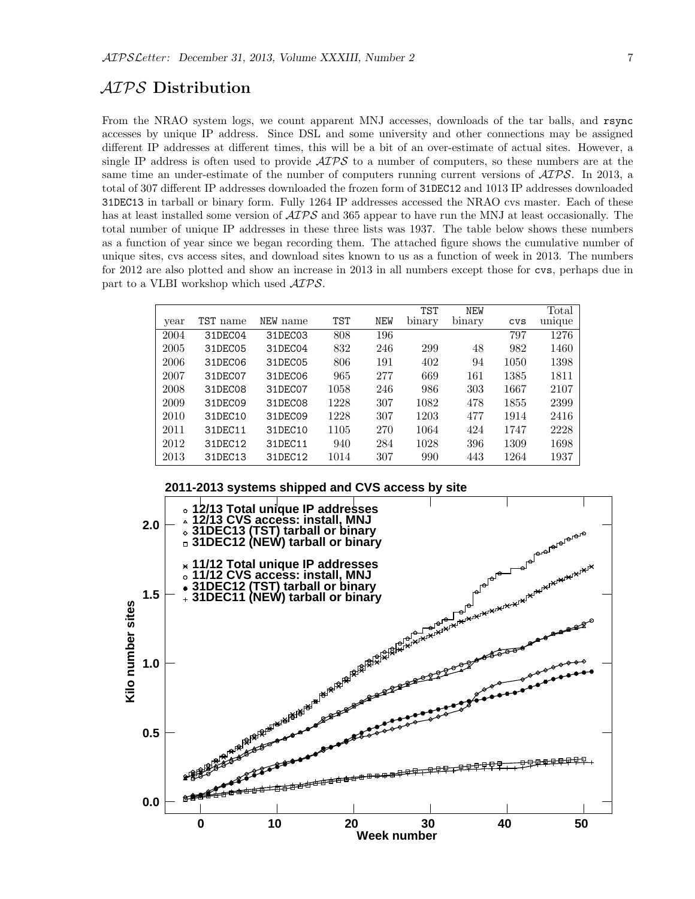## AIPS Distribution

From the NRAO system logs, we count apparent MNJ accesses, downloads of the tar balls, and rsync accesses by unique IP address. Since DSL and some university and other connections may be assigned different IP addresses at different times, this will be a bit of an over-estimate of actual sites. However, a single IP address is often used to provide  $\mathcal{AIPS}$  to a number of computers, so these numbers are at the same time an under-estimate of the number of computers running current versions of  $\mathcal{AIPS}$ . In 2013, a total of 307 different IP addresses downloaded the frozen form of 31DEC12 and 1013 IP addresses downloaded 31DEC13 in tarball or binary form. Fully 1264 IP addresses accessed the NRAO cvs master. Each of these has at least installed some version of  $\mathcal{AIPS}$  and 365 appear to have run the MNJ at least occasionally. The total number of unique IP addresses in these three lists was 1937. The table below shows these numbers as a function of year since we began recording them. The attached figure shows the cumulative number of unique sites, cvs access sites, and download sites known to us as a function of week in 2013. The numbers for 2012 are also plotted and show an increase in 2013 in all numbers except those for cvs, perhaps due in part to a VLBI workshop which used AIPS.

|      |          |          |            |            | <b>TST</b> | <b>NEW</b> |            | Total  |
|------|----------|----------|------------|------------|------------|------------|------------|--------|
| year | TST name | NEW name | <b>TST</b> | <b>NEW</b> | binary     | binary     | <b>CVS</b> | unique |
| 2004 | 31DEC04  | 31DEC03  | 808        | 196        |            |            | 797        | 1276   |
| 2005 | 31DEC05  | 31DEC04  | 832        | 246        | 299        | 48         | 982        | 1460   |
| 2006 | 31DEC06  | 31DEC05  | 806        | 191        | 402        | 94         | 1050       | 1398   |
| 2007 | 31DEC07  | 31DEC06  | 965        | 277        | 669        | 161        | 1385       | 1811   |
| 2008 | 31DEC08  | 31DEC07  | 1058       | 246        | 986        | 303        | 1667       | 2107   |
| 2009 | 31DEC09  | 31DEC08  | 1228       | 307        | 1082       | 478        | 1855       | 2399   |
| 2010 | 31DEC10  | 31DEC09  | 1228       | 307        | 1203       | 477        | 1914       | 2416   |
| 2011 | 31DEC11  | 31DEC10  | 1105       | 270        | 1064       | 424        | 1747       | 2228   |
| 2012 | 31DEC12  | 31DEC11  | 940        | 284        | 1028       | 396        | 1309       | 1698   |
| 2013 | 31DEC13  | 31DEC12  | 1014       | 307        | 990        | 443        | 1264       | 1937   |

**2011-2013 systems shipped and CVS access by site**